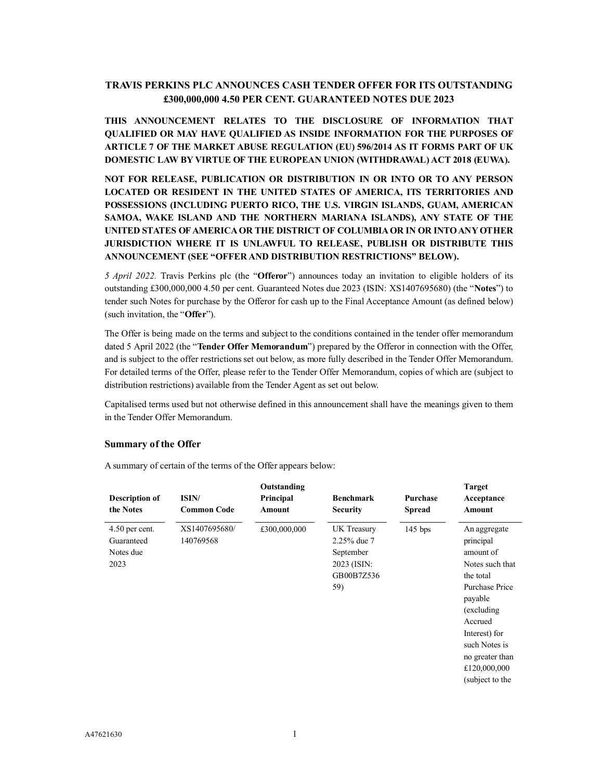# **TRAVIS PERKINS PLC ANNOUNCES CASH TENDER OFFER FOR ITS OUTSTANDING £300,000,000 4.50 PER CENT. GUARANTEED NOTES DUE 2023**

**THIS ANNOUNCEMENT RELATES TO THE DISCLOSURE OF INFORMATION THAT QUALIFIED OR MAY HAVE QUALIFIED AS INSIDE INFORMATION FOR THE PURPOSES OF ARTICLE 7 OF THE MARKET ABUSE REGULATION (EU) 596/2014 AS IT FORMS PART OF UK DOMESTIC LAW BY VIRTUE OF THE EUROPEAN UNION (WITHDRAWAL) ACT 2018 (EUWA).**

# **NOT FOR RELEASE, PUBLICATION OR DISTRIBUTION IN OR INTO OR TO ANY PERSON LOCATED OR RESIDENT IN THE UNITED STATES OF AMERICA, ITS TERRITORIES AND POSSESSIONS (INCLUDING PUERTO RICO, THE U.S. VIRGIN ISLANDS, GUAM, AMERICAN SAMOA, WAKE ISLAND AND THE NORTHERN MARIANA ISLANDS), ANY STATE OF THE UNITED STATES OF AMERICA OR THE DISTRICT OF COLUMBIAOR IN OR INTO ANY OTHER JURISDICTION WHERE IT IS UNLAWFUL TO RELEASE, PUBLISH OR DISTRIBUTE THIS ANNOUNCEMENT (SEE "OFFER AND DISTRIBUTION RESTRICTIONS" BELOW).**

*5 April 2022.* Travis Perkins plc (the "**Offeror**") announces today an invitation to eligible holders of its outstanding £300,000,000 4.50 per cent. Guaranteed Notes due 2023 (ISIN: XS1407695680) (the "**Notes**") to tender such Notes for purchase by the Offeror for cash up to the Final Acceptance Amount (as defined below) (such invitation, the "**Offer**").

The Offer is being made on the terms and subject to the conditions contained in the tender offer memorandum dated 5 April 2022 (the "**Tender Offer Memorandum**") prepared by the Offeror in connection with the Offer, and is subject to the offer restrictions set out below, as more fully described in the Tender Offer Memorandum. For detailed terms of the Offer, please refer to the Tender Offer Memorandum, copies of which are (subject to distribution restrictions) available from the Tender Agent as set out below.

Capitalised terms used but not otherwise defined in this announcement shall have the meanings given to them in the Tender Offer Memorandum.

# **Summary of the Offer**

A summary of certain of the terms of the Offer appears below:

| <b>Description of</b><br>the Notes                  | ISIN/<br><b>Common Code</b> | Outstanding<br>Principal<br>Amount | <b>Benchmark</b><br><b>Security</b>                                         | Purchase<br><b>Spread</b> | <b>Target</b><br>Acceptance<br>Amount                                                                                                                                                                                 |
|-----------------------------------------------------|-----------------------------|------------------------------------|-----------------------------------------------------------------------------|---------------------------|-----------------------------------------------------------------------------------------------------------------------------------------------------------------------------------------------------------------------|
| $4.50$ per cent.<br>Guaranteed<br>Notes due<br>2023 | XS1407695680/<br>140769568  | £300,000,000                       | UK Treasury<br>2.25% due 7<br>September<br>2023 (ISIN:<br>GB00B7Z536<br>59) | $145$ bps                 | An aggregate<br>principal<br>amount of<br>Notes such that<br>the total<br>Purchase Price<br>payable<br>(excluding)<br>Accrued<br>Interest) for<br>such Notes is<br>no greater than<br>£120,000,000<br>(subject to the |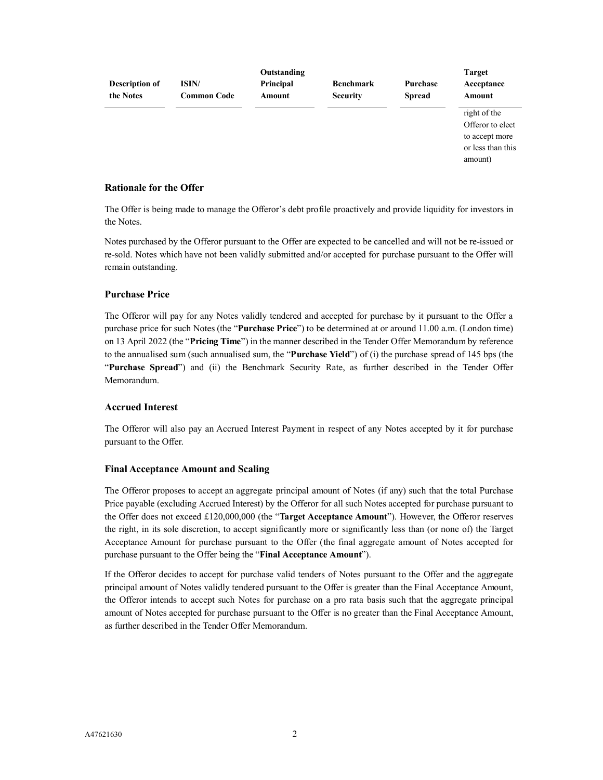| <b>Description of</b><br>the Notes | ISIN/<br><b>Common Code</b> | Outstanding<br>Principal<br>Amount | <b>Benchmark</b><br><b>Security</b> | Purchase<br><b>Spread</b> | <b>Target</b><br>Acceptance<br>Amount                                              |
|------------------------------------|-----------------------------|------------------------------------|-------------------------------------|---------------------------|------------------------------------------------------------------------------------|
|                                    |                             |                                    |                                     |                           | right of the<br>Offeror to elect<br>to accept more<br>or less than this<br>amount) |

# **Rationale for the Offer**

The Offer is being made to manage the Offeror's debt profile proactively and provide liquidity for investors in the Notes.

Notes purchased by the Offeror pursuant to the Offer are expected to be cancelled and will not be re-issued or re-sold. Notes which have not been validly submitted and/or accepted for purchase pursuant to the Offer will remain outstanding.

# **Purchase Price**

The Offeror will pay for any Notes validly tendered and accepted for purchase by it pursuant to the Offer a purchase price for such Notes (the "**Purchase Price**") to be determined at or around 11.00 a.m. (London time) on 13 April 2022 (the "**Pricing Time**") in the manner described in the Tender Offer Memorandum by reference to the annualised sum (such annualised sum, the "**Purchase Yield**") of (i) the purchase spread of 145 bps (the "**Purchase Spread**") and (ii) the Benchmark Security Rate, as further described in the Tender Offer Memorandum.

# **Accrued Interest**

The Offeror will also pay an Accrued Interest Payment in respect of any Notes accepted by it for purchase pursuant to the Offer.

# **Final Acceptance Amount and Scaling**

The Offeror proposes to accept an aggregate principal amount of Notes (if any) such that the total Purchase Price payable (excluding Accrued Interest) by the Offeror for all such Notes accepted for purchase pursuant to the Offer does not exceed £120,000,000 (the "**Target Acceptance Amount**"). However, the Offeror reserves the right, in its sole discretion, to accept significantly more or significantly less than (or none of) the Target Acceptance Amount for purchase pursuant to the Offer (the final aggregate amount of Notes accepted for purchase pursuant to the Offer being the "**Final Acceptance Amount**").

If the Offeror decides to accept for purchase valid tenders of Notes pursuant to the Offer and the aggregate principal amount of Notes validly tendered pursuant to the Offer is greater than the Final Acceptance Amount, the Offeror intends to accept such Notes for purchase on a pro rata basis such that the aggregate principal amount of Notes accepted for purchase pursuant to the Offer is no greater than the Final Acceptance Amount, as further described in the Tender Offer Memorandum.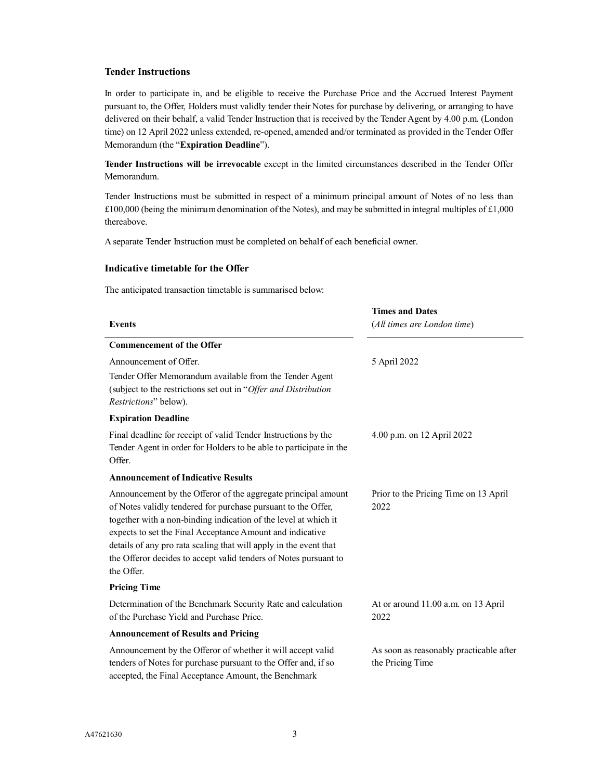# **Tender Instructions**

In order to participate in, and be eligible to receive the Purchase Price and the Accrued Interest Payment pursuant to, the Offer, Holders must validly tender their Notes for purchase by delivering, or arranging to have delivered on their behalf, a valid Tender Instruction that is received by the Tender Agent by 4.00 p.m. (London time) on 12 April 2022 unless extended, re-opened, amended and/or terminated as provided in the Tender Offer Memorandum (the "**Expiration Deadline**").

**Tender Instructions will be irrevocable** except in the limited circumstances described in the Tender Offer Memorandum.

Tender Instructions must be submitted in respect of a minimum principal amount of Notes of no less than £100,000 (being the minimum denomination of the Notes), and may be submitted in integral multiples of £1,000 thereabove.

A separate Tender Instruction must be completed on behalf of each beneficial owner.

## **Indicative timetable for the Offer**

The anticipated transaction timetable is summarised below:

| <b>Events</b>                                                                                                                                                                                                                                                                                                                                                                                                         | <b>Times and Dates</b><br>(All times are London time)       |  |  |
|-----------------------------------------------------------------------------------------------------------------------------------------------------------------------------------------------------------------------------------------------------------------------------------------------------------------------------------------------------------------------------------------------------------------------|-------------------------------------------------------------|--|--|
| <b>Commencement of the Offer</b>                                                                                                                                                                                                                                                                                                                                                                                      |                                                             |  |  |
| Announcement of Offer.<br>Tender Offer Memorandum available from the Tender Agent<br>(subject to the restrictions set out in "Offer and Distribution<br>Restrictions" below).                                                                                                                                                                                                                                         | 5 April 2022                                                |  |  |
| <b>Expiration Deadline</b>                                                                                                                                                                                                                                                                                                                                                                                            |                                                             |  |  |
| Final deadline for receipt of valid Tender Instructions by the<br>Tender Agent in order for Holders to be able to participate in the<br>Offer.                                                                                                                                                                                                                                                                        | 4.00 p.m. on 12 April 2022                                  |  |  |
| <b>Announcement of Indicative Results</b>                                                                                                                                                                                                                                                                                                                                                                             |                                                             |  |  |
| Announcement by the Offeror of the aggregate principal amount<br>of Notes validly tendered for purchase pursuant to the Offer,<br>together with a non-binding indication of the level at which it<br>expects to set the Final Acceptance Amount and indicative<br>details of any pro rata scaling that will apply in the event that<br>the Offeror decides to accept valid tenders of Notes pursuant to<br>the Offer. | Prior to the Pricing Time on 13 April<br>2022               |  |  |
| <b>Pricing Time</b>                                                                                                                                                                                                                                                                                                                                                                                                   |                                                             |  |  |
| Determination of the Benchmark Security Rate and calculation<br>of the Purchase Yield and Purchase Price.                                                                                                                                                                                                                                                                                                             | At or around 11.00 a.m. on 13 April<br>2022                 |  |  |
| <b>Announcement of Results and Pricing</b>                                                                                                                                                                                                                                                                                                                                                                            |                                                             |  |  |
| Announcement by the Offeror of whether it will accept valid<br>tenders of Notes for purchase pursuant to the Offer and, if so<br>accepted, the Final Acceptance Amount, the Benchmark                                                                                                                                                                                                                                 | As soon as reasonably practicable after<br>the Pricing Time |  |  |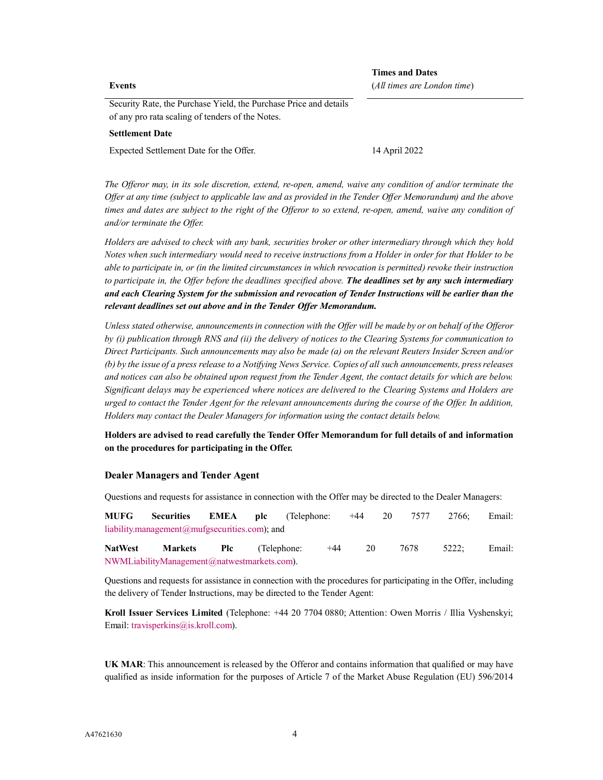#### **Events**

**Times and Dates** (*All times are London time*)

Security Rate, the Purchase Yield, the Purchase Price and details of any pro rata scaling of tenders of the Notes.

#### **Settlement Date**

Expected Settlement Date for the Offer. 14 April 2022

*The Offeror may, in its sole discretion, extend, re-open, amend, waive any condition of and/or terminate the Offer at any time (subject to applicable law and as provided in the Tender Offer Memorandum) and the above times and dates are subject to the right of the Offeror to so extend, re-open, amend, waive any condition of and/or terminate the Offer.*

*Holders are advised to check with any bank, securities broker or other intermediary through which they hold Notes when such intermediary would need to receive instructions from a Holder in order for that Holder to be able to participate in, or (in the limited circumstances in which revocation is permitted) revoke their instruction to participate in, the Offer before the deadlines specified above. The deadlines set by any such intermediary and each Clearing System for the submission and revocation of Tender Instructions will be earlier than the relevant deadlines set out above and in the Tender Offer Memorandum.*

*Unless stated otherwise, announcements in connection with the Offer will be made by or on behalf of the Offeror by (i) publication through RNS and (ii) the delivery of notices to the Clearing Systems for communication to Direct Participants. Such announcements may also be made (a) on the relevant Reuters Insider Screen and/or (b) by the issue of a press release to a Notifying News Service. Copies of all such announcements, press releases and notices can also be obtained upon request from the Tender Agent, the contact details for which are below. Significant delays may be experienced where notices are delivered to the Clearing Systems and Holders are urged to contact the Tender Agent for the relevant announcements during the course of the Offer. In addition, Holders may contact the Dealer Managers for information using the contact details below.*

**Holders are advised to read carefully the Tender Offer Memorandum for full details of and information on the procedures for participating in the Offer.**

## **Dealer Managers and Tender Agent**

Questions and requests for assistance in connection with the Offer may be directed to the Dealer Managers:

**[MUFG Securities EMEA](mailto:liability.management@mufgsecurities.com) plc** (Telephone: +44 20 7577 2766; Email: liability.management@mufgsecurities.com); and

**[NatWest Markets Plc](mailto:DG.LM-EMEA@bofa.com)** (Telephone: +44 20 7678 5222; Email: NWMLiabilityManagement@natwestmarkets.com).

Questions and requests for assistance in connection with the procedures for participating in the Offer, including the delivery of Tender Instructions, may be directed to the Tender Agent:

**Kroll Issuer Services Limited** (Telephone: +44 20 7704 0880; Attention: Owen Morris / Illia Vyshenskyi; [Email: travisperkins@is.kroll.co](mailto:travisperkins@is.kroll.com)m).

**UK MAR**: This announcement is released by the Offeror and contains information that qualified or may have qualified as inside information for the purposes of Article 7 of the Market Abuse Regulation (EU) 596/2014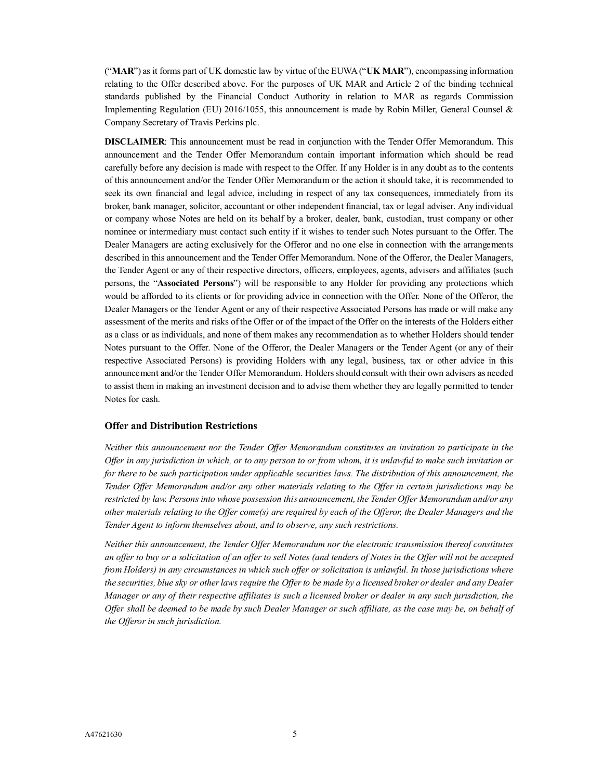("**MAR**") as it forms part of UK domestic law by virtue of the EUWA ("**UK MAR**"), encompassing information relating to the Offer described above. For the purposes of UK MAR and Article 2 of the binding technical standards published by the Financial Conduct Authority in relation to MAR as regards Commission Implementing Regulation (EU) 2016/1055, this announcement is made by Robin Miller, General Counsel & Company Secretary of Travis Perkins plc.

**DISCLAIMER**: This announcement must be read in conjunction with the Tender Offer Memorandum. This announcement and the Tender Offer Memorandum contain important information which should be read carefully before any decision is made with respect to the Offer. If any Holder is in any doubt as to the contents of this announcement and/or the Tender Offer Memorandum or the action it should take, it is recommended to seek its own financial and legal advice, including in respect of any tax consequences, immediately from its broker, bank manager, solicitor, accountant or other independent financial, tax or legal adviser. Any individual or company whose Notes are held on its behalf by a broker, dealer, bank, custodian, trust company or other nominee or intermediary must contact such entity if it wishes to tender such Notes pursuant to the Offer. The Dealer Managers are acting exclusively for the Offeror and no one else in connection with the arrangements described in this announcement and the Tender Offer Memorandum. None of the Offeror, the Dealer Managers, the Tender Agent or any of their respective directors, officers, employees, agents, advisers and affiliates (such persons, the "**Associated Persons**") will be responsible to any Holder for providing any protections which would be afforded to its clients or for providing advice in connection with the Offer. None of the Offeror, the Dealer Managers or the Tender Agent or any of their respective Associated Persons has made or will make any assessment of the merits and risks of the Offer or of the impact of the Offer on the interests of the Holders either as a class or as individuals, and none of them makes any recommendation as to whether Holders should tender Notes pursuant to the Offer. None of the Offeror, the Dealer Managers or the Tender Agent (or any of their respective Associated Persons) is providing Holders with any legal, business, tax or other advice in this announcement and/or the Tender Offer Memorandum. Holders should consult with their own advisers as needed to assist them in making an investment decision and to advise them whether they are legally permitted to tender Notes for cash.

## **Offer and Distribution Restrictions**

*Neither this announcement nor the Tender Offer Memorandum constitutes an invitation to participate in the Offer in any jurisdiction in which, or to any person to or from whom, it is unlawful to make such invitation or for there to be such participation under applicable securities laws. The distribution of this announcement, the Tender Offer Memorandum and/or any other materials relating to the Offer in certain jurisdictions may be restricted by law. Persons into whose possession this announcement, the Tender Offer Memorandum and/or any other materials relating to the Offer come(s) are required by each of the Offeror, the Dealer Managers and the Tender Agent to inform themselves about, and to observe, any such restrictions.*

*Neither this announcement, the Tender Offer Memorandum nor the electronic transmission thereof constitutes an offer to buy or a solicitation of an offer to sell Notes (and tenders of Notes in the Offer will not be accepted from Holders) in any circumstances in which such offer or solicitation is unlawful. In those jurisdictions where the securities, blue sky or other laws require the Offer to be made by a licensed broker or dealer and any Dealer Manager or any of their respective affiliates is such a licensed broker or dealer in any such jurisdiction, the Offer shall be deemed to be made by such Dealer Manager or such affiliate, as the case may be, on behalf of the Offeror in such jurisdiction.*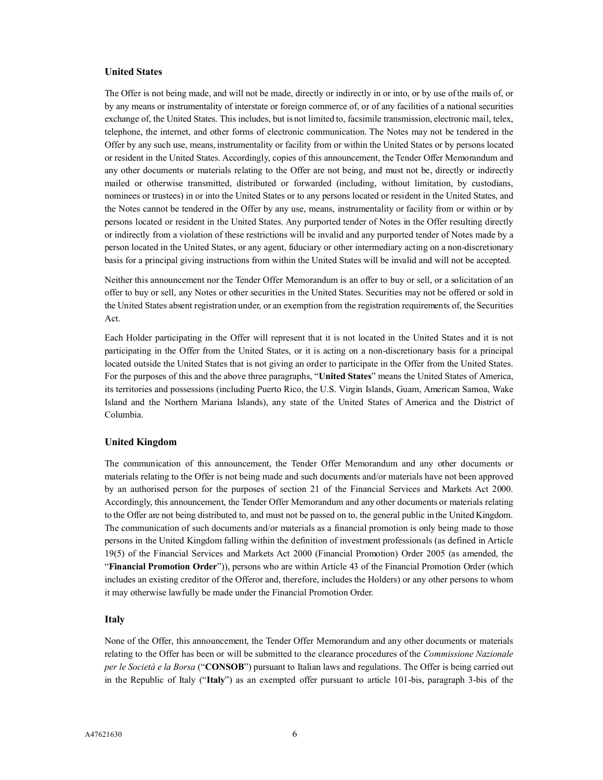# **United States**

The Offer is not being made, and will not be made, directly or indirectly in or into, or by use of the mails of, or by any means or instrumentality of interstate or foreign commerce of, or of any facilities of a national securities exchange of, the United States. This includes, but is not limited to, facsimile transmission, electronic mail, telex, telephone, the internet, and other forms of electronic communication. The Notes may not be tendered in the Offer by any such use, means, instrumentality or facility from or within the United States or by persons located or resident in the United States. Accordingly, copies of this announcement, the Tender Offer Memorandum and any other documents or materials relating to the Offer are not being, and must not be, directly or indirectly mailed or otherwise transmitted, distributed or forwarded (including, without limitation, by custodians, nominees or trustees) in or into the United States or to any persons located or resident in the United States, and the Notes cannot be tendered in the Offer by any use, means, instrumentality or facility from or within or by persons located or resident in the United States. Any purported tender of Notes in the Offer resulting directly or indirectly from a violation of these restrictions will be invalid and any purported tender of Notes made by a person located in the United States, or any agent, fiduciary or other intermediary acting on a non-discretionary basis for a principal giving instructions from within the United States will be invalid and will not be accepted.

Neither this announcement nor the Tender Offer Memorandum is an offer to buy or sell, or a solicitation of an offer to buy or sell, any Notes or other securities in the United States. Securities may not be offered or sold in the United States absent registration under, or an exemption from the registration requirements of, the Securities Act.

Each Holder participating in the Offer will represent that it is not located in the United States and it is not participating in the Offer from the United States, or it is acting on a non-discretionary basis for a principal located outside the United States that is not giving an order to participate in the Offer from the United States. For the purposes of this and the above three paragraphs, "**United States**" means the United States of America, its territories and possessions (including Puerto Rico, the U.S. Virgin Islands, Guam, American Samoa, Wake Island and the Northern Mariana Islands), any state of the United States of America and the District of Columbia.

## **United Kingdom**

The communication of this announcement, the Tender Offer Memorandum and any other documents or materials relating to the Offer is not being made and such documents and/or materials have not been approved by an authorised person for the purposes of section 21 of the Financial Services and Markets Act 2000. Accordingly, this announcement, the Tender Offer Memorandum and any other documents or materials relating to the Offer are not being distributed to, and must not be passed on to, the general public in the United Kingdom. The communication of such documents and/or materials as a financial promotion is only being made to those persons in the United Kingdom falling within the definition of investment professionals (as defined in Article 19(5) of the Financial Services and Markets Act 2000 (Financial Promotion) Order 2005 (as amended, the "**Financial Promotion Order**")), persons who are within Article 43 of the Financial Promotion Order (which includes an existing creditor of the Offeror and, therefore, includes the Holders) or any other persons to whom it may otherwise lawfully be made under the Financial Promotion Order.

# **Italy**

None of the Offer, this announcement, the Tender Offer Memorandum and any other documents or materials relating to the Offer has been or will be submitted to the clearance procedures of the *Commissione Nazionale per le Società e la Borsa* ("**CONSOB**") pursuant to Italian laws and regulations. The Offer is being carried out in the Republic of Italy ("**Italy**") as an exempted offer pursuant to article 101-bis, paragraph 3-bis of the